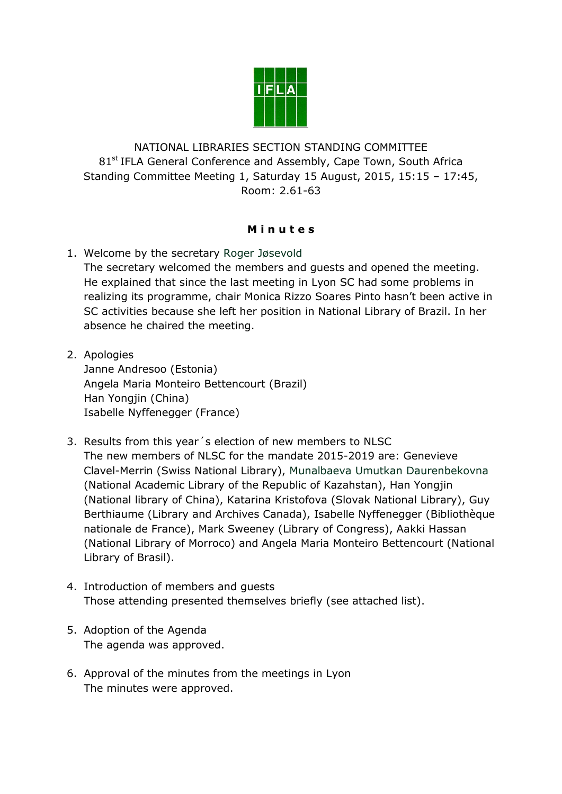

NATIONAL LIBRARIES SECTION STANDING COMMITTEE 81<sup>st</sup> IFLA General Conference and Assembly, Cape Town, South Africa Standing Committee Meeting 1, Saturday 15 August, 2015, 15:15 – 17:45, Room: 2.61-63

## **M i n u t e s**

1. Welcome by the secretary Roger Jøsevold

The secretary welcomed the members and guests and opened the meeting. He explained that since the last meeting in Lyon SC had some problems in realizing its programme, chair Monica Rizzo Soares Pinto hasn't been active in SC activities because she left her position in National Library of Brazil. In her absence he chaired the meeting.

2. Apologies

Janne Andresoo (Estonia) Angela Maria Monteiro Bettencourt (Brazil) Han Yongjin (China) Isabelle Nyffenegger (France)

- 3. Results from this year´s election of new members to NLSC The new members of NLSC for the mandate 2015-2019 are: Genevieve Clavel-Merrin (Swiss National Library), Munalbaeva Umutkan Daurenbekovna (National Academic Library of the Republic of Kazahstan), Han Yongjin (National library of China), Katarina Kristofova (Slovak National Library), Guy Berthiaume (Library and Archives Canada), Isabelle Nyffenegger (Bibliothèque nationale de France), Mark Sweeney (Library of Congress), Aakki Hassan (National Library of Morroco) and Angela Maria Monteiro Bettencourt (National Library of Brasil).
- 4. Introduction of members and guests Those attending presented themselves briefly (see attached list).
- 5. Adoption of the Agenda The agenda was approved.
- 6. Approval of the minutes from the meetings in Lyon The minutes were approved.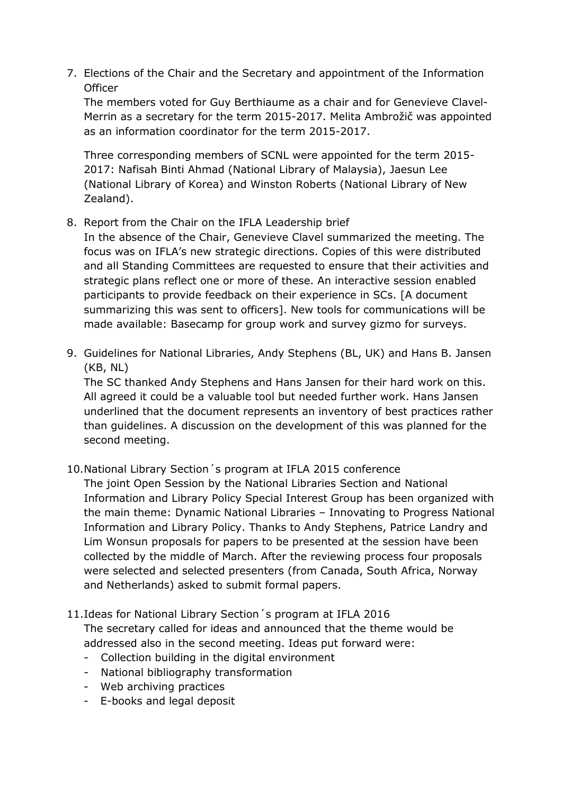7. Elections of the Chair and the Secretary and appointment of the Information **Officer** 

The members voted for Guy Berthiaume as a chair and for Genevieve Clavel-Merrin as a secretary for the term 2015-2017. Melita Ambrožič was appointed as an information coordinator for the term 2015-2017.

Three corresponding members of SCNL were appointed for the term 2015- 2017: Nafisah Binti Ahmad (National Library of Malaysia), Jaesun Lee (National Library of Korea) and Winston Roberts (National Library of New Zealand).

### 8. Report from the Chair on the IFLA Leadership brief

In the absence of the Chair, Genevieve Clavel summarized the meeting. The focus was on IFLA's new strategic directions. Copies of this were distributed and all Standing Committees are requested to ensure that their activities and strategic plans reflect one or more of these. An interactive session enabled participants to provide feedback on their experience in SCs. [A document summarizing this was sent to officers]. New tools for communications will be made available: Basecamp for group work and survey gizmo for surveys.

9. Guidelines for National Libraries, Andy Stephens (BL, UK) and Hans B. Jansen (KB, NL)

The SC thanked Andy Stephens and Hans Jansen for their hard work on this. All agreed it could be a valuable tool but needed further work. Hans Jansen underlined that the document represents an inventory of best practices rather than guidelines. A discussion on the development of this was planned for the second meeting.

# 10.National Library Section´s program at IFLA 2015 conference

The joint Open Session by the National Libraries Section and National Information and Library Policy Special Interest Group has been organized with the main theme: Dynamic National Libraries – Innovating to Progress National Information and Library Policy. Thanks to Andy Stephens, Patrice Landry and Lim Wonsun proposals for papers to be presented at the session have been collected by the middle of March. After the reviewing process four proposals were selected and selected presenters (from Canada, South Africa, Norway and Netherlands) asked to submit formal papers.

## 11.Ideas for National Library Section´s program at IFLA 2016 The secretary called for ideas and announced that the theme would be addressed also in the second meeting. Ideas put forward were:

- Collection building in the digital environment
- National bibliography transformation
- Web archiving practices
- E-books and legal deposit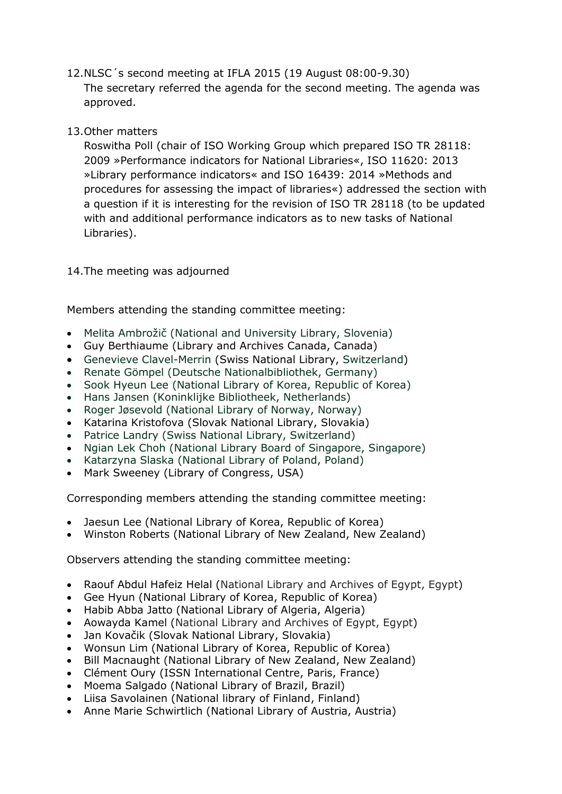- 12.NLSC´s second meeting at IFLA 2015 (19 August 08:00-9.30) The secretary referred the agenda for the second meeting. The agenda was approved.
- 13.Other matters

Roswitha Poll (chair of ISO Working Group which prepared ISO TR 28118: 2009 »Performance indicators for National Libraries«, ISO 11620: 2013 »Library performance indicators« and ISO 16439: 2014 »Methods and procedures for assessing the impact of libraries«) addressed the section with a question if it is interesting for the revision of ISO TR 28118 (to be updated with and additional performance indicators as to new tasks of National Libraries).

### 14.The meeting was adjourned

Members attending the standing committee meeting:

- Melita Ambrožič (National and University Library, Slovenia)
- Guy Berthiaume (Library and Archives Canada, Canada)
- Genevieve Clavel-Merrin (Swiss National Library, Switzerland)
- Renate Gömpel (Deutsche Nationalbibliothek, Germany)
- Sook Hyeun Lee (National Library of Korea, Republic of Korea)
- Hans Jansen (Koninklijke Bibliotheek, Netherlands)
- Roger Jøsevold (National Library of Norway, Norway)
- Katarina Kristofova (Slovak National Library, Slovakia)
- Patrice Landry (Swiss National Library, Switzerland)
- Ngian Lek Choh (National Library Board of Singapore, Singapore)
- Katarzyna Slaska (National Library of Poland, Poland)
- Mark Sweeney (Library of Congress, USA)

Corresponding members attending the standing committee meeting:

- Jaesun Lee (National Library of Korea, Republic of Korea)
- Winston Roberts (National Library of New Zealand, New Zealand)

Observers attending the standing committee meeting:

- Raouf Abdul Hafeiz Helal (National Library and Archives of Egypt, Egypt)
- Gee Hyun (National Library of Korea, Republic of Korea)
- Habib Abba Jatto (National Library of Algeria, Algeria)
- Aowayda Kamel (National Library and Archives of Egypt, Egypt)
- Jan Kovačik (Slovak National Library, Slovakia)
- Wonsun Lim (National Library of Korea, Republic of Korea)
- Bill Macnaught (National Library of New Zealand, New Zealand)
- Clément Oury (ISSN International Centre, Paris, France)
- Moema Salgado (National Library of Brazil, Brazil)
- Liisa Savolainen (National library of Finland, Finland)
- Anne Marie Schwirtlich (National Library of Austria, Austria)